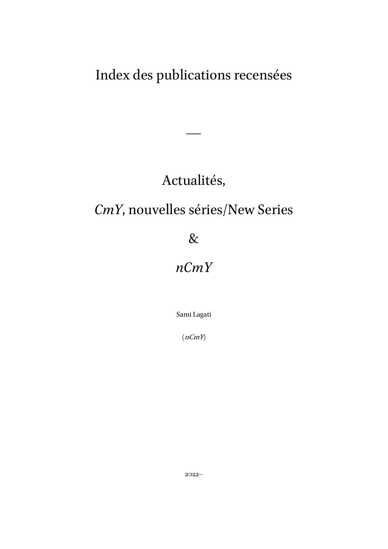# Index des publications recensées

### Actualités,

—

# *CmY*, nouvelles séries/New Series

### &

# *nCmY*

Sami Lagati

 $(nCmY)$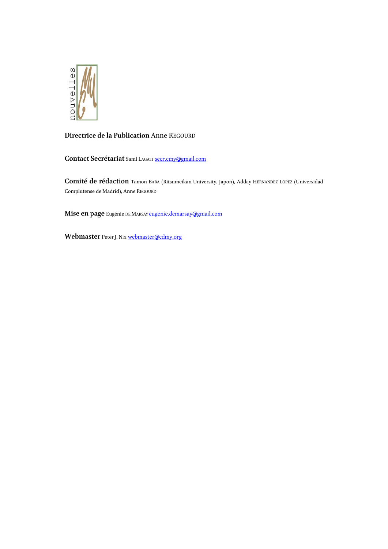

#### **Directrice de la Publication** Anne REGOURD

**Contact Secrétariat** Sami LAGATI secr.cmy@gmail.com

**Comité de rédaction** Tamon BABA (Ritsumeikan University, Japon), Adday HERNÁNDEZ LÓPEZ (Universidad Complutense de Madrid), Anne REGOURD

**Mise en page** Eugénie DE MARSAY [eugenie.demarsay@gmail.com](mailto:eugenie.demarsay@gmail.com)

**Webmaster** Peter J. NIX [webmaster@cdmy.org](mailto:webmaster@cdmy.org)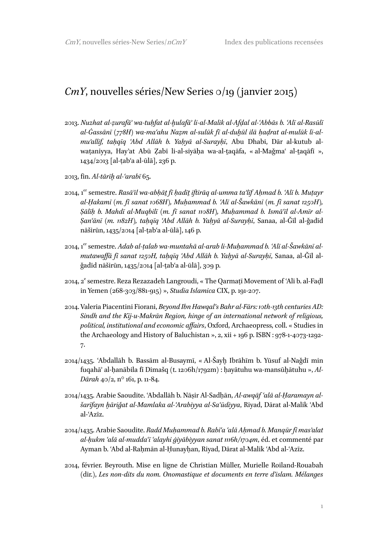#### *CmY*, nouvelles séries/New Series 0/19 (janvier 2015)

- 2013. *Nuzhat al-ẓurafāʾ wa-tuḥfat al-ḫulafāʾ li-al-Malik al-Afḍal al-ʿAbbās b. ʿAlī al-Rasūlī al-Ġassānī* (*778H*) *wa-maʿahu Naẓm al-sulūk fī al-duḫūl ilā ḥaḍrat al-mulūk li-almuʾallif, taḥqīq ʿAbd Allāh b. Yaḥyā al-Surayḥī*, Abu Dhabi, Dār al-kutub alwaṭaniyya, Hay'at Abū Zabī li-al-siyāḥa wa-al-taqāfa, « al-Maǧmaʿ al-taqāfī », 1434/2013 [al-ṭabʿa al-ūlā], 236 p.
- 2013, fin. *Al-tārīḫ al-ʿarabī* 65.
- 2014, 1 er semestre. *Rasāʾil wa-abḥāṯ fī ḥadīṯ iftirāq al-umma taʾlīf Aḥmad b. ʿAlī b. Muṭayr al-Ḥakamī (m. fī sanat 1068H), Muḥammad b. ʿAlī al-Šawkānī (m. fī sanat 1250H), Ṣālīḥ b. Mahdī al-Muqbilī (m. fī sanat 1108H), Muḥammad b. Ismāʿīl al-Amīr al-Ṣanʿānī (m. 1182H), taḥqīq ʿAbd Allāh b. Yaḥyā al-Surayḥī*, Sanaa, al-Ǧīl al-ǧadīd nāširūn, 1435/2014 [al-ṭabʿa al-ūlā], 146 p.
- 2014, 1 er semestre. *Adab al-ṭalab wa-muntahā al-arab li-Muḥammad b. ʿAlī al-Šawkānī almutawaffā fī sanat 1250H, taḥqīq ʿAbd Allāh b. Yaḥyā al-Surayḥī*, Sanaa, al-Ǧīl alǧadīd nāširūn, 1435/2014 [al-ṭabʿa al-ūlā], 309 p.
- 2014, 2<sup>e</sup> semestre. Reza Rezazadeh Langroudi, « The Qarmatī Movement of 'Alī b. al-Faḍl in Yemen (268-303/881-915) », *Studia Islamica* CIX, p. 191-207.
- 2014. Valeria Piacentini Fiorani, *Beyond Ibn Hawqal's Bahr al-Fārs: 10th-13th centuries AD: Sindh and the Kīj-u-Makrān Region, hinge of an international network of religious, political, institutional and economic affairs*, Oxford, Archaeopress, coll. « Studies in the Archaeology and History of Baluchistan », 2, xii + 196 p. ISBN : 978-1-4073-1292- 7.
- 2014/1435. ʿAbdallāh b. Bassām al-Busaymī, « Al-Šayḫ Ibrāhīm b. Yūsuf al-Naǧdī min fuqahāʾ al-ḥanābila fī Dimašq (t. 1206h/1792m) : ḥayātuhu wa-mansūḫātuhu », *Al-Dārah* 40/2, n° 161, p. 11-84.
- 2014/1435. Arabie Saoudite. ʿAbdallāh b. Nāṣir Al-Sadḥān, *Al-awqāf ʿalā al-Ḥaramayn alšarīfayn ḫāriǧat al-Mamlaka al-ʿArabiyya al-Saʿūdiyya*, Riyad, Dārat al-Malik ʿAbd al-ʿAzīz.
- 2014/1435. Arabie Saoudite. *Radd Muḥammad b. Rabīʿa ʿalā Aḥmad b. Manqūr fī masʾalat al-ḥukm ʿalā al-muddaʿī ʿalayhi ġiyābiyyan sanat 1116h/1704m*, éd. et commenté par Ayman b. ʿAbd al-Rahmān al-Hunayhan, Riyad, Dārat al-Malik ʿAbd al-ʿAzīz.
- 2014, février. Beyrouth. Mise en ligne de Christian Müller, Murielle Roiland-Rouabah (dir.), *Les non-dits du nom. Onomastique et documents en terre d'islam. Mélanges*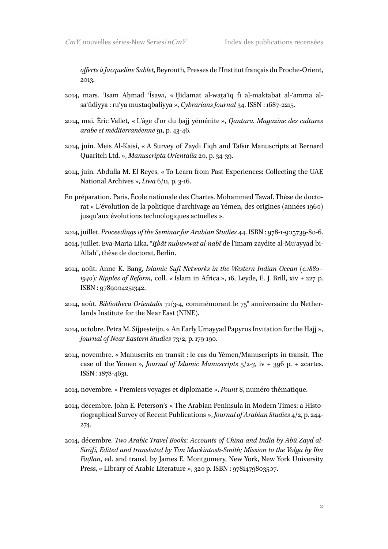*offerts à Jacqueline Sublet*, Beyrouth, Presses de l'Institut français du Proche-Orient, 2013.

- 2014, mars. ʿIsām Aḥmad ʿĪsawī, « Ḫidamāt al-waṯāʾiq fī al-maktabāt al-ʿāmma alsaʿūdiyya : ruʾya mustaqbaliyya », *Cybrarians Journal* 34. ISSN : 1687-2215.
- 2014, mai. Éric Vallet, « L'âge d'or du ḥajj yéménite », *Qantara. Magazine des cultures arabe et méditerranéenne* 91, p. 43-46.
- 2014, juin. Meis Al-Kaisi, « A Survey of Zaydī Fiqh and Tafsīr Manuscripts at Bernard Quaritch Ltd. », *Manuscripta Orientalia* 20, p. 34-39.
- 2014, juin. Abdulla M. El Reyes, « To Learn from Past Experiences: Collecting the UAE National Archives », *Liwa* 6/11, p. 3-16.
- En préparation. Paris, École nationale des Chartes. Mohammed Tawaf. Thèse de doctorat « L'évolution de la politique d'archivage au Yémen, des origines (années 1960) jusqu'aux évolutions technologiques actuelles ».
- 2014, juillet. *Proceedings of the Seminar for Arabian Studies* 44. ISBN : 978-1-905739-80-6.
- 2014, juillet. Eva-Maria Lika, "*Iṯbāt nubuwwat al-nabī* de l'imam zaydite al-Muʾayyad bi-Allāh", thèse de doctorat, Berlin.
- 2014, août. Anne K. Bang, *Islamic Sufi Networks in the Western Indian Ocean (c.1880– 1940): Ripples of Reform*, coll. « Islam in Africa », 16, Leyde, E. J. Brill, xiv + 227 p. ISBN : 9789004251342.
- 2014, août. *Bibliotheca Orientalis* 71/3-4, commémorant le 75<sup>e</sup> anniversaire du Netherlands Institute for the Near East (NINE).
- 2014, octobre. Petra M. Sijpesteijn, « An Early Umayyad Papyrus Invitation for the Hajj », *Journal of Near Eastern Studies* 73/2, p. 179-190.
- 2014, novembre. « Manuscrits en transit : le cas du Yémen/Manuscripts in transit. The case of the Yemen », *Journal of Islamic Manuscripts* 5/2-*3*, iv + 396 p. + 2cartes. ISSN : 1878-4631.
- 2014, novembre. « Premiers voyages et diplomatie », *Pount* 8, numéro thématique.
- 2014, décembre. John E. Peterson's « The Arabian Peninsula in Modern Times: a Historiographical Survey of Recent Publications », *Journal of Arabian Studies* 4/2, p. 244- 274.
- 2014, décembre. *Two Arabic Travel Books: Accounts of China and India by Abū Zayd al-Sīrāfī, Edited and translated by Tim Mackintosh-Smith; Mission to the Volga by Ibn Faḍlān*, ed. and transl. by James E. Montgomery, New York, New York University Press, « Library of Arabic Literature », 320 p. ISBN : 9781479803507.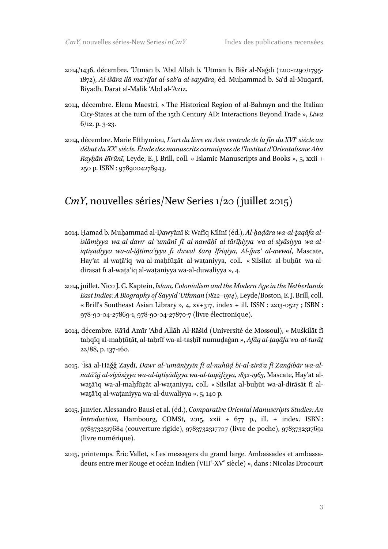- 2014/1436, décembre. ʿUṯmān b. ʿAbd Allāh b. ʿUṯmān b. Bišr al-Naǧdī (1210-1290/1795- 1872), *Al-išāra ilā maʿrifat al-sabʿa al-sayyāra*, éd. Muḥammad b. Saʿd al-Muqarrī, Riyadh, Dārat al-Malik ʿAbd al-ʿAzīz.
- 2014, décembre. Elena Maestri, « The Historical Region of al-Bahrayn and the Italian City-States at the turn of the 15th Century AD: Interactions Beyond Trade », *Liwa* 6/12, p. 3-23.
- 2014, décembre. Marie Efthymiou, *L'art du livre en Asie centrale de la fin du XVI<sup>e</sup> siècle au début du XX<sup>e</sup> siècle. Étude des manuscrits coraniques de l'Institut d'Orientalisme Abū Rayḥān Bīrūnī*, Leyde, E. J. Brill, coll. « Islamic Manuscripts and Books », 5, xxii + 250 p. ISBN : 9789004278943.

### *CmY*, nouvelles séries/New Series 1/20 (juillet 2015)

- 2014. Ḥamad b. Muḥammad al-Ḍawyānī & Wafīq Kīlīnī (éd.), *Al-ḥaḍāra wa-al-ṯaqāfa alislāmiyya wa-al-dawr al-ʿumānī fī al-nawāḥī al-tārīḫiyya wa-al-siyāsiyya wa-aliqtiṣādiyya wa-al-iǧtimāʿiyya fī duwal šarq Ifriqiyā, Al-ǧuzʾ al-awwal*, Mascate, Hay'at al-watā'iq wa-al-maḥfūzāt al-waṭaniyya, coll. « Silsilat al-buḥūt wa-aldirāsāt fī al-watā'iq al-wataniyya wa-al-duwaliyya », 4.
- 2014, juillet. Nico J. G. Kaptein, *Islam, Colonialism and the Modern Age in the Netherlands East Indies: A Biography of Sayyid ʿUthman (1822–1914)*, Leyde/Boston, E. J. Brill, coll. « Brill's Southeast Asian Library », 4, xv+317, index + ill. ISSN : 2213-0527 ; ISBN : 978-90-04-27869-1, 978-90-04-27870-7 (livre électronique).
- 2014, décembre. Rāʾid Amīr ʿAbd Allāh Al-Rāšid (Université de Mossoul), « Muškilāt fī taḥqīq al-maḥṭūṭāt, al-taḥrīf wa-al-taṣḥīf numuḏaǧan », *Afāq al-ṯaqāfa wa-al-turāṯ* 22/88, p. 137-160.
- 2015. ʿĪsā al-Hāǧǧ Zaydī, *Dawr al-ʿumāniyyīn fī al-nuhūḍ bi-al-zirāʿa fī Zanğibār wa-alnatāʾiğ al-siyāsiyya wa-al-iqtiṣādiyya wa-al-ṯaqāfiyya, 1832-1963*, Mascate, Hayʾat alwaṯāʾiq wa-al-maḥfūẓāt al-waṭaniyya, coll. « Silsilat al-buḥūt wa-al-dirāsāt fī alwaṯāʾiq al-waṭaniyya wa-al-duwaliyya », 5, 140 p.
- 2015, janvier. Alessandro Bausi et al. (éd.), *Comparative Oriental Manuscripts Studies: An Introduction*, Hambourg, COMSt, 2015, xxii + 677 p., ill. + index. ISBN : 9783732317684 (couverture rigide), 9783732317707 (livre de poche), 9783732317691 (livre numérique).
- 2015, printemps. Éric Vallet, « Les messagers du grand large. Ambassades et ambassadeurs entre mer Rouge et océan Indien (VIII<sup>e</sup>-XV<sup>e</sup> siècle) », dans : Nicolas Drocourt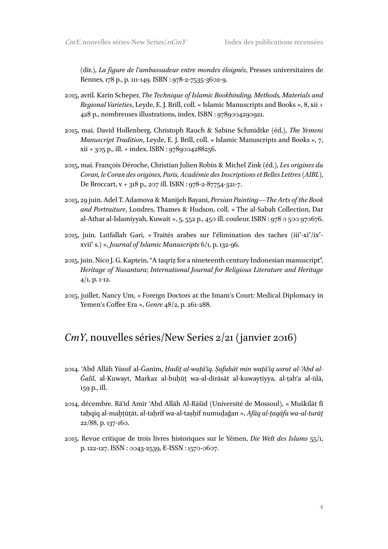(dir.), *La figure de l'ambassadeur entre mondes éloignés*, Presses universitaires de Rennes, 178 p., p. 111-149. ISBN : 978-2-7535-3602-9.

- 2015, avril. Karin Scheper, *The Technique of Islamic Bookbinding. Methods, Materials and Regional Varieties*, Leyde, E. J. Brill, coll. « Islamic Manuscripts and Books », 8, xii + 428 p., nombreuses illustrations, index. ISBN : 9789004290921.
- 2015, mai. David Hollenberg, Christoph Rauch & Sabine Schmidtke (éd.), *The Yemeni Manuscript Tradition*, Leyde, E. J. Brill, coll. « Islamic Manuscripts and Books », 7, xii + 305 p., ill. + index. ISBN : 9789004288256.
- 2015, mai. François Déroche, Christian Julien Robin & Michel Zink (éd.), *Les origines du Coran, le Coran des origines, Paris, Académie des Inscriptions et Belles Lettres (AIBL)*, De Broccart, v + 318 p., 207 ill. ISBN : 978-2-87754-321-7.
- 2015, 29 juin. Adel T. Adamova & Manijeh Bayani, *Persian Painting—The Arts of the Book and Portraiture*, Londres, Thames & Hudson, coll. « The al-Sabah Collection, Dar al-Athar al-Islamiyyah, Kuwait », 5, 552 p., 450 ill. couleur. ISBN : 978 0 500 970676.
- 2015, juin. Lutfallah Gari, «Traités arabes sur l'élimination des taches (iii<sup>e</sup>-xi<sup>e</sup>/ix<sup>e</sup>xvii<sup>e</sup> s.) », *Journal of Islamic Manuscripts* 6/1, p. 132-96.
- 2015, juin. Nico J. G. Kaptein, "A taqrīẓ for a nineteenth century Indonesian manuscript", *Heritage of Nusantara*; *International Journal for Religious Literature and Heritage*   $4/1$ , p. 1-12.
- 2015, juillet. Nancy Um, « Foreign Doctors at the Imam's Court: Medical Diplomacy in Yemen's Coffee Era », *Genre* 48/2, p. 261-288.

#### *CmY*, nouvelles séries/New Series 2/21 (janvier 2016)

- 2014. ʿAbd Allāh Yūsuf al-Ġanīm, *Ḥadīṯ al-waṯāʾiq. Ṣafaḥāt min waṯāʾiq usrat al-ʿAbd al-Ǧalīl*, al-Kuwayt, Markaz al-buḥūṯ wa-al-dirāsāt al-kuwaytiyya, al-ṭabʿa al-ūlā, 159 p., ill.
- 2014, décembre. Rāʾid Amīr ʿAbd Allāh Al-Rāšid (Université de Mossoul), « Muškilāt fī taḥqīq al-maḫṭūṭāt, al-taḥrīf wa-al-taṣḥīf numuḏaǧan », *Afāq al-ṯaqāfa wa-al-turāṯ* 22/88, p. 137-160.
- 2015. Revue critique de trois livres historiques sur le Yémen, *Die Welt des Islams* 55/1, p. 122-127. ISSN : 0043-2539, E-ISSN : 1570-0607.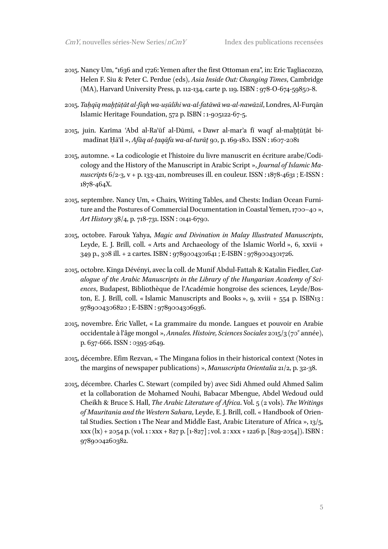- 2015. Nancy Um, "1636 and 1726: Yemen after the first Ottoman era", in: Eric Tagliacozzo, Helen F. Siu & Peter C. Perdue (eds), *Asia Inside Out: Changing Times*, Cambridge (MA), Harvard University Press, p. 112-134, carte p. 119. ISBN : 978-O-674-59850-8.
- 2015. *Taḥqīq maḫṭūṭāt al-fiqh wa-uṣūlihi wa-al-fatāwā wa-al-nawāzil*, Londres, Al-Furqān Islamic Heritage Foundation, 572 p. ISBN : 1-905122-67-5.
- 2015, juin. Karīma ʿAbd al-Raʾūf al-Dūmī, « Dawr al-marʾa fī waqf al-maḫṭūṭāt bimadīnat Ḥāʾil », *Afāq al-ṯaqāfa wa-al-turāṯ* 90, p. 169-180. ISSN : 1607-2081
- 2015, automne. « La codicologie et l'histoire du livre manuscrit en écriture arabe/Codicology and the History of the Manuscript in Arabic Script », *Journal of Islamic Manuscripts* 6/2-3, v + p. 133-421, nombreuses ill. en couleur. ISSN : 1878-4631 ; E-ISSN : 1878-464X.
- 2015, septembre. Nancy Um, « Chairs, Writing Tables, and Chests: Indian Ocean Furniture and the Postures of Commercial Documentation in Coastal Yemen, 1700–40 », *Art History* 38/4, p. 718-731. ISSN : 0141-6790.
- 2015, octobre. Farouk Yahya, *Magic and Divination in Malay Illustrated Manuscripts*, Leyde, E. J. Brill, coll. « Arts and Archaeology of the Islamic World », 6, xxvii + 349 p., 308 ill. + 2 cartes. ISBN : 9789004301641 ; E-ISBN : 9789004301726.
- 2015, octobre. Kinga Dévényi, avec la coll. de Munif Abdul-Fattah & Katalin Fiedler, *Catalogue of the Arabic Manuscripts in the Library of the Hungarian Academy of Sciences*, Budapest, Bibliothèque de l'Académie hongroise des sciences, Leyde/Boston, E. J. Brill, coll. « Islamic Manuscripts and Books », 9, xviii + 554 p. ISBN13 : 9789004306820 ; E-ISBN : 9789004306936.
- 2015, novembre. Éric Vallet, « La grammaire du monde. Langues et pouvoir en Arabie occidentale à l'âge mongol », Annales. Histoire, Sciences Sociales 2015/3 (70<sup>e</sup> année), p. 637-666. ISSN : 0395-2649.
- 2015, décembre. Efim Rezvan, « The Mingana folios in their historical context (Notes in the margins of newspaper publications) », *Manuscripta Orientalia* 21/2, p. 32-38.
- 2015, décembre. Charles C. Stewart (compiled by) avec Sidi Ahmed ould Ahmed Salim et la collaboration de Mohamed Nouhi, Babacar Mbengue, Abdel Wedoud ould Cheikh & Bruce S. Hall, *The Arabic Literature of Africa*. Vol. 5 (2 vols). *The Writings of Mauritania and the Western Sahara*, Leyde, E. J. Brill, coll. « Handbook of Oriental Studies. Section 1 The Near and Middle East, Arabic Literature of Africa », 13/5,  $xxx (lx) + 2054 p. (vol. 1: XXX + 827 p. [1-827]: vol. 2: XXX + 1226 p. [829-2054]). ISBN:$ 9789004260382.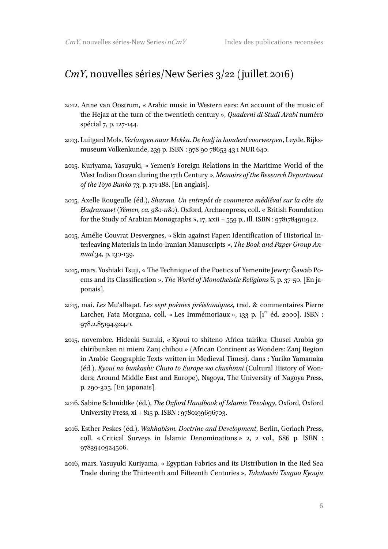#### *CmY*, nouvelles séries/New Series 3/22 (juillet 2016)

- 2012. Anne van Oostrum, « Arabic music in Western ears: An account of the music of the Hejaz at the turn of the twentieth century », *Quaderni di Studi Arabi* numéro spécial 7, p. 127-144.
- 2013. Luitgard Mols, *Verlangen naar Mekka. De hadj in honderd voorwerpen*, Leyde, Rijksmuseum Volkenkunde, 239 p. ISBN : 978 90 78653 43 1 NUR 640.
- 2015. Kuriyama, Yasuyuki, « Yemen's Foreign Relations in the Maritime World of the West Indian Ocean during the 17th Century », *Memoirs of the Research Department of the Toyo Bunko* 73, p. 171-188. [En anglais].
- 2015. Axelle Rougeulle (éd.), *Sharma. Un entrepôt de commerce médiéval sur la côte du Ḥaḍramawt (Yémen, ca. 980-1180)*, Oxford, Archaeopress, coll. « British Foundation for the Study of Arabian Monographs »,  $17$ , xxii  $+559$  p., ill. ISBN :  $9781784911942$ .
- 2015. Amélie Couvrat Desvergnes, « Skin against Paper: Identification of Historical Interleaving Materials in Indo-Iranian Manuscripts », *The Book and Paper Group Annual* 34, p. 130-139.
- 2015, mars. Yoshiaki Tsuji, « The Technique of the Poetics of Yemenite Jewry: Ǧawāb Poems and its Classification », *The World of Monotheistic Religions* 6, p. 37-50. [En japonais].
- 2015, mai. *Les* Muʿallaqat*. Les sept poèmes préislamiques*, trad. & commentaires Pierre Larcher, Fata Morgana, coll. « Les Immémoriaux », 133 p. [1<sup>re</sup> éd. 2000]. ISBN : 978.2.85194.924.0.
- 2015, novembre. Hideaki Suzuki, « Kyoui to shiteno Africa tairiku: Chusei Arabia go chiribunken ni mieru Zanj chihou » (African Continent as Wonders: Zanj Region in Arabic Geographic Texts written in Medieval Times), dans : Yuriko Yamanaka (éd.), *Kyoui no bunkashi: Chuto to Europe wo chushinni* (Cultural History of Wonders: Around Middle East and Europe*)*, Nagoya, The University of Nagoya Press, p. 290-305. [En japonais].
- 2016. Sabine Schmidtke (éd.), *The Oxford Handbook of Islamic Theology*, Oxford, Oxford University Press,  $xi + 815$  p. ISBN : 9780199696703.
- 2016. Esther Peskes (éd.), *Wahhabism. Doctrine and Development*, Berlin, Gerlach Press, coll. « Critical Surveys in Islamic Denominations » 2, 2 vol., 686 p. ISBN : 9783940924506.
- 2016, mars. Yasuyuki Kuriyama, « Egyptian Fabrics and its Distribution in the Red Sea Trade during the Thirteenth and Fifteenth Centuries », *Takahashi Tsuguo Kyouju*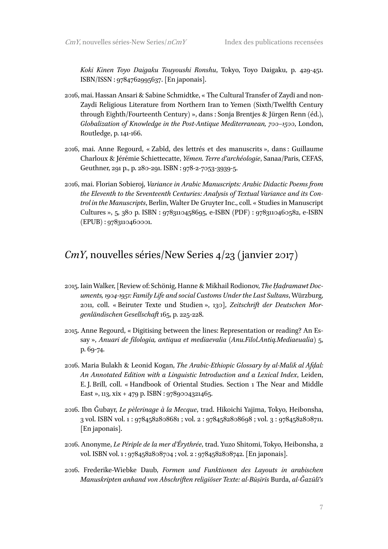*Koki Kinen Toyo Daigaku Touyoushi Ronshu*, Tokyo, Toyo Daigaku, p. 429-451. ISBN/ISSN : 9784762995637. [En japonais].

- 2016, mai. Hassan Ansari & Sabine Schmidtke, « The Cultural Transfer of Zaydī and non-Zaydī Religious Literature from Northern Iran to Yemen (Sixth/Twelfth Century through Eighth/Fourteenth Century) », dans : Sonja Brentjes & Jürgen Renn (éd.), *Globalization of Knowledge in the Post-Antique Mediterranean, 700–1500*, London, Routledge, p. 141-166.
- 2016, mai. Anne Regourd, « Zabîd, des lettrés et des manuscrits », dans : Guillaume Charloux & Jérémie Schiettecatte, *Yémen. Terre d'archéologie*, Sanaa/Paris, CEFAS, Geuthner, 291 p., p. 280-291. ISBN : 978-2-7053-3939-5.
- 2016, mai. Florian Sobieroj, *Variance in Arabic Manuscripts: Arabic Didactic Poems from the Eleventh to the Seventeenth Centuries: Analysis of Textual Variance and its Control in the Manuscripts*, Berlin, Walter De Gruyter Inc., coll. « Studies in Manuscript Cultures », 5, 380 p. ISBN : 9783110458695, e-ISBN (PDF) : 9783110460582, e-ISBN (EPUB) : 9783110460001.

#### *CmY*, nouvelles séries/New Series 4/23 (janvier 2017)

- 2015. Iain Walker, [Review of: Schönig, Hanne & Mikhail Rodionov, *The Ḥaḍramawt Documents, 1904-1951: Family Life and social Customs Under the Last Sultans*, Würzburg, 2011, coll. « Beiruter Texte und Studien », 130], *Zeitschrift der Deutschen Morgenländischen Gesellschaft* 165, p. 225-228.
- 2015. Anne Regourd, « Digitising between the lines: Representation or reading? An Essay », *Anuari de filologia, antiqua et mediaevalia (Anu.Filol.Antiq.Mediaeualia)* 5, p. 69-74.
- 2016. Maria Bulakh & Leonid Kogan, *The Arabic-Ethiopic Glossary by al-Malik al Afḍal: An Annotated Edition with a Linguistic Introduction and a Lexical Index*, Leiden, E. J. Brill, coll. « Handbook of Oriental Studies. Section 1 The Near and Middle East », 113, xix + 479 p. ISBN : 9789004321465.
- 2016. Ibn Ǧubayr, *Le pèlerinage à la Mecque*, trad. Hikoichi Yajima, Tokyo, Heibonsha, 3 vol. ISBN vol. 1 : 9784582808681 ; vol. 2 : 9784582808698 ; vol. 3 : 9784582808711. [En japonais].
- 2016. Anonyme, *Le Périple de la mer d'Érythrée*, trad. Yuzo Shitomi, Tokyo, Heibonsha, 2 vol. ISBN vol. 1 : 9784582808704 ; vol. 2 : 9784582808742. [En japonais].
- 2016. Frederike-Wiebke Daub, *Formen und Funktionen des Layouts in arabischen Manuskripten anhand von Abschriften religiöser Texte: al-Būṣīrīs* Burda, *al-Ǧazūlī's*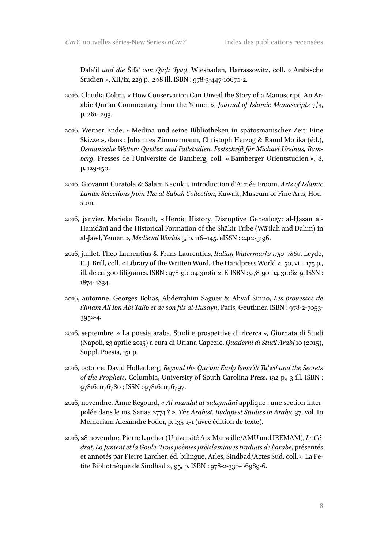Dalāʾil *und die* Šifāʾ *von Qāḍī ʿIyāḍ*, Wiesbaden, Harrassowitz, coll. « Arabische Studien », XII/ix, 229 p., 208 ill. ISBN : 978-3-447-10670-2.

- 2016. Claudia Colini, « How Conservation Can Unveil the Story of a Manuscript. An Arabic Qurʾan Commentary from the Yemen », *Journal of Islamic Manuscripts* 7/3, p. 261–293.
- 2016. Werner Ende, « Medina und seine Bibliotheken in spätosmanischer Zeit: Eine Skizze », dans : Johannes Zimmermann, Christoph Herzog & Raoul Motika (éd.), *Osmanische Welten: Quellen und Fallstudien. Festschrift für Michael Ursinus, Bamberg*, Presses de l'Université de Bamberg, coll. « Bamberger Orientstudien », 8, p. 129-150.
- 2016. Giovanni Curatola & Salam Kaoukji, introduction d'Aimée Froom, *Arts of Islamic Lands: Selections from The al-Sabah Collection*, Kuwait, Museum of Fine Arts, Houston.
- 2016, janvier. Marieke Brandt, « Heroic History, Disruptive Genealogy: al-Ḥasan al-Hamdānī and the Historical Formation of the Shākir Tribe (Wāʿilah and Dahm) in al-Jawf, Yemen », *Medieval Worlds* 3, p. 116–145. eISSN : 2412-3196.
- 2016, juillet. Theo Laurentius & Frans Laurentius, *Italian Watermarks 1750–1860*, Leyde, E. J. Brill, coll. « Library of the Written Word, The Handpress World », 50, vi + 175 p., ill. de ca. 300 filigranes. ISBN : 978-90-04-31061-2. E-ISBN : 978-90-04-31062-9. ISSN : 1874-4834.
- 2016, automne. Georges Bohas, Abderrahim Saguer & Ahyaf Sinno, *Les prouesses de l'Imam Ali Ibn Abi Talib et de son fils al-Husayn*, Paris, Geuthner. ISBN : 978-2-7053- 3952-4.
- 2016, septembre. « La poesia araba. Studi e prospettive di ricerca », Giornata di Studi (Napoli, 23 aprile 2015) a cura di Oriana Capezio, *Quaderni di Studi Arabi* 10 (2015), Suppl. Poesia, 151 p.
- 2016, octobre. David Hollenberg, *Beyond the Qurʾān: Early Ismāʿīlī Taʾwīl and the Secrets of the Prophets*, Columbia, University of South Carolina Press, 192 p., 3 ill. ISBN : 9781611176780 ; ISSN : 9781611176797.
- 2016, novembre. Anne Regourd, « *Al-mandal al-sulaymānī* appliqué : une section interpolée dans le ms. Sanaa 2774 ? », *The Arabist. Budapest Studies in Arabic* 37, vol. In Memoriam Alexandre Fodor, p. 135-151 (avec édition de texte).
- 2016, 28 novembre. Pierre Larcher (Université Aix-Marseille/AMU and IREMAM), *Le Cédrat, La Jument et la Goule. Trois poèmes préislamiques traduits de l'arabe*, présentés et annotés par Pierre Larcher, éd. bilingue, Arles, Sindbad/Actes Sud, coll. « La Petite Bibliothèque de Sindbad », 95, p. ISBN : 978-2-330-06989-6.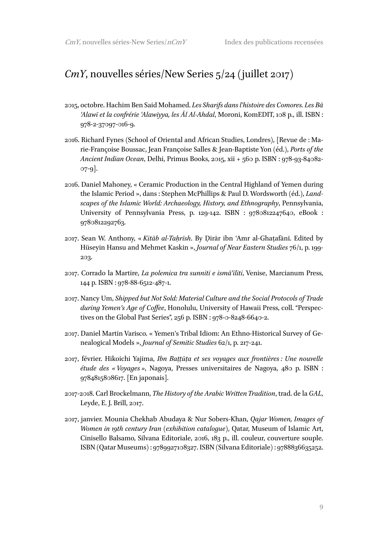#### *CmY*, nouvelles séries/New Series 5/24 (juillet 2017)

- 2015, octobre. Hachim Ben Said Mohamed. *Les Sharifs dans l'histoire des Comores. Les Bā ʿAlawī et la confrérie ʿAlawiyya, les Āl Al-Ahdal*, Moroni, KomEDIT, 108 p., ill. ISBN : 978-2-37097-016-9.
- 2016. Richard Fynes (School of Oriental and African Studies, Londres), [Revue de : Marie-Françoise Boussac, Jean Françoise Salles & Jean-Baptiste Yon (éd.), *Ports of the Ancient Indian Ocean*, Delhi, Primus Books, 2015, xii + 560 p. ISBN : 978-93-84082- 07-9].
- 2016. Daniel Mahoney, « Ceramic Production in the Central Highland of Yemen during the Islamic Period », dans : Stephen McPhillips & Paul D. Wordsworth (éd.), *Landscapes of the Islamic World: Archaeology, History, and Ethnography*, Pennsylvania, University of Pennsylvania Press, p. 129-142. ISBN : 9780812247640, eBook : 9780812292763.
- 2017. Sean W. Anthony, « *Kitāb al-Taḥrīsh*. By Ḍirār ibn ʿAmr al-Ghaṭafānī. Edited by Hüseyin Hansu and Mehmet Kaskin », *Journal of Near Eastern Studies* 76/1, p. 199- 203.
- 2017. Corrado la Martire, *La polemica tra sunniti e ismāʿīliti*, Venise, Marcianum Press, 144 p. ISBN : 978-88-6512-487-1.
- 2017. Nancy Um, *Shipped but Not Sold: Material Culture and the Social Protocols of Trade during Yemen's Age of Coffee*, Honolulu, University of Hawaii Press, coll. "Perspectives on the Global Past Series", 256 p. ISBN : 978-0-8248-6640-2.
- 2017. Daniel Martin Varisco. « Yemen's Tribal Idiom: An Ethno-Historical Survey of Genealogical Models », *Journal of Semitic Studies* 62/1, p. 217-241.
- 2017, février. Hikoichi Yajima, *Ibn Baṭṭūṭa et ses voyages aux frontières : Une nouvelle étude des « Voyages »*, Nagoya, Presses universitaires de Nagoya, 480 p. ISBN : 9784815808617. [En japonais].
- 2017-2018. Carl Brockelmann, *The History of the Arabic Written Tradition*, trad. de la *GAL*, Leyde, E. J. Brill, 2017.
- 2017, janvier. Mounia Chekhab Abudaya & Nur Sobers-Khan, *Qajar Women, Images of Women in 19th century Iran (exhibition catalogue)*, Qatar, Museum of Islamic Art, Cinisello Balsamo, Silvana Editoriale, 2016, 183 p., ill. couleur, couverture souple. ISBN (Qatar Museums) : 9789927108327. ISBN (Silvana Editoriale) : 9788836635252.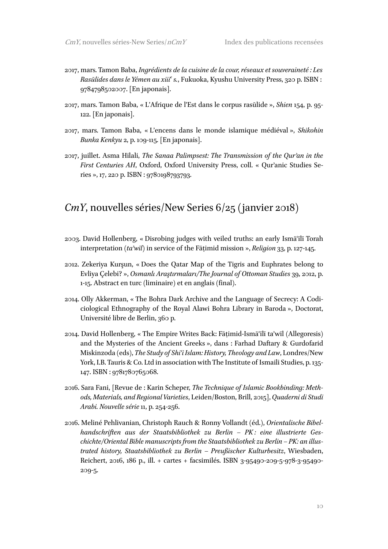- 2017, mars. Tamon Baba, *Ingrédients de la cuisine de la cour, réseaux et souveraineté : Les Rasūlides dans le Yémen au xiii<sup>e</sup> s.*, Fukuoka, Kyushu University Press, 320 p. ISBN : 9784798502007. [En japonais].
- 2017, mars. Tamon Baba, « L'Afrique de l'Est dans le corpus rasūlide », *Shien* 154, p. 95- 122. [En japonais].
- 2017, mars. Tamon Baba, « L'encens dans le monde islamique médiéval », *Shikohin Bunka Kenkyu* 2, p. 109-115. [En japonais].
- 2017, juillet. Asma Hilali, *The Sanaa Palimpsest: The Transmission of the Qurʾan in the First Centuries AH*, Oxford, Oxford University Press, coll. « Qurʾanic Studies Series », 17, 220 p. ISBN : 9780198793793.

#### *CmY*, nouvelles séries/New Series 6/25 (janvier 2018)

- 2003. David Hollenberg, « Disrobing judges with veiled truths: an early Ismāʿīlī Torah interpretation (*taʾwīl*) in service of the Fāṭimid mission », *Religion* 33, p. 127-145.
- 2012. Zekeriya Kurşun, « Does the Qatar Map of the Tigris and Euphrates belong to Evliya Çelebi? », *Osmanlı Araştırmaları/The Journal of Ottoman Studies* 39, 2012, p. 1-15. Abstract en turc (liminaire) et en anglais (final).
- 2014. Olly Akkerman, « The Bohra Dark Archive and the Language of Secrecy: A Codiciological Ethnography of the Royal Alawi Bohra Library in Baroda », Doctorat, Université libre de Berlin, 360 p.
- 2014. David Hollenberg, « The Empire Writes Back: Fāṭimid-Ismāʿīlī taʾwīl (Allegoresis) and the Mysteries of the Ancient Greeks », dans : Farhad Daftary & Gurdofarid Miskinzoda (eds), *The Study of Shiʿi Islam: History, Theology and Law*, Londres/New York, I.B. Tauris & Co. Ltd in association with The Institute of Ismaili Studies, p. 135- 147. ISBN : 9781780765068.
- 2016. Sara Fani, [Revue de : Karin Scheper, *The Technique of Islamic Bookbinding: Methods, Materials, and Regional Varieties*, Leiden/Boston, Brill, 2015], *Quaderni di Studi Arabi. Nouvelle série* 11, p. 254-256.
- 2016. Meliné Pehlivanian, Christoph Rauch & Ronny Vollandt (éd.), *Orientalische Bibelhandschriften aus der Staatsbibliothek zu Berlin – PK : eine illustrierte Ges*chichte/Oriental Bible manuscripts from the Staatsbibliothek zu Berlin – PK: an illus*trated history, Staatsbibliothek zu Berlin – Preußischer Kulturbesitz*, Wiesbaden, Reichert, 2016, 186 p., ill. + cartes + facsimilés. ISBN 3-95490-209-5-978-3-95490- 209-5.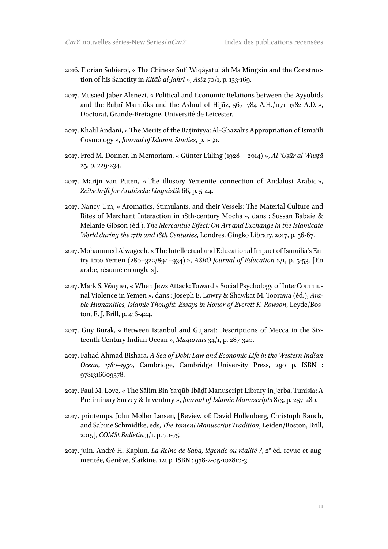- 2016. Florian Sobieroj, « The Chinese Sufi Wiqāyatullāh Ma Mingxin and the Construction of his Sanctity in *Kitāb al-Jahrī* », *Asia* 70/1, p. 133-169.
- 2017. Musaed Jaber Alenezi, « Political and Economic Relations between the Ayyūbids and the Baḥrī Mamlūks and the Ashraf of Hijāz, 567–784 A.H./1171–1382 A.D. », Doctorat, Grande-Bretagne, Université de Leicester.
- 2017. Khalil Andani, « The Merits of the Bāṭiniyya: Al-Ghazālī's Appropriation of Ismaʿili Cosmology », *Journal of Islamic Studies*, p. 1-50.
- 2017. Fred M. Donner. In Memoriam, « Günter Lüling (1928—2014) », *Al-ʿUṣūr al-Wusṭā*  25, p. 229-234.
- 2017. Marijn van Puten, « The illusory Yemenite connection of Andalusi Arabic », *Zeitschrift for Arabische Linguistik* 66, p. 5-44.
- 2017. Nancy Um, « Aromatics, Stimulants, and their Vessels: The Material Culture and Rites of Merchant Interaction in 18th-century Mocha », dans : Sussan Babaie & Melanie Gibson (éd.), *The Mercantile Effect: On Art and Exchange in the Islamicate World during the 17th and 18th Centuries*, Londres, Gingko Library, 2017, p. 56-67.
- 2017. Mohammed Alwageeh, « The Intellectual and Educational Impact of Ismailia's Entry into Yemen (280–322/894–934) », *ASRO Journal of Education* 2/1, p. 5-53. [En arabe, résumé en anglais].
- 2017. Mark S. Wagner, « When Jews Attack: Toward a Social Psychology of InterCommunal Violence in Yemen », dans : Joseph E. Lowry & Shawkat M. Toorawa (éd.), *Arabic Humanities, Islamic Thought. Essays in Honor of Everett K. Rowson*, Leyde/Boston, E. J. Brill, p. 416-424.
- 2017. Guy Burak, « Between Istanbul and Gujarat: Descriptions of Mecca in the Sixteenth Century Indian Ocean », *Muqarnas* 34/1, p. 287-320.
- 2017. Fahad Ahmad Bishara, *A Sea of Debt: Law and Economic Life in the Western Indian Ocean, 1780–1950*, Cambridge, Cambridge University Press, 290 p. ISBN : 9781316609378.
- 2017. Paul M. Love, « The Sālim Bin Yaʿqūb Ibāḍī Manuscript Library in Jerba, Tunisia: A Preliminary Survey & Inventory », *Journal of Islamic Manuscripts* 8/3, p. 257-280.
- 2017, printemps. John Møller Larsen, [Review of: David Hollenberg, Christoph Rauch, and Sabine Schmidtke, eds, *The Yemeni Manuscript Tradition*, Leiden/Boston, Brill, 2015], *COMSt Bulletin* 3/1, p. 70-75.
- 2017, juin. André H. Kaplun, *La Reine de Saba, légende ou réalité ?*, 2<sup>e</sup> éd. revue et augmentée, Genève, Slatkine, 121 p. ISBN : 978-2-05-102810-3.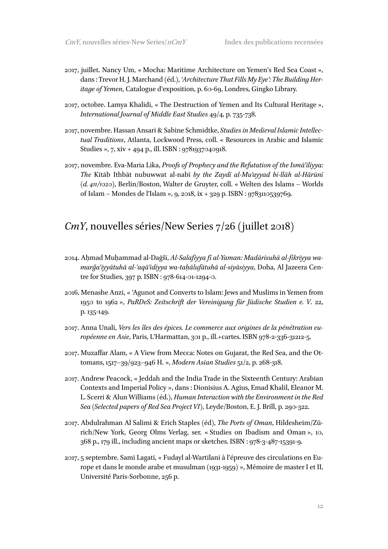- 2017, juillet. Nancy Um, « Mocha: Maritime Architecture on Yemen's Red Sea Coast », dans : Trevor H. J. Marchand (éd.), *'Architecture That Fills My Eye': The Building Heritage of Yemen*, Catalogue d'exposition, p. 60-69, Londres, Gingko Library.
- 2017, octobre. Lamya Khalidi, « The Destruction of Yemen and Its Cultural Heritage », *International Journal of Middle East Studies* 49/4, p. 735-738.
- 2017, novembre. Hassan Ansari & Sabine Schmidtke, *Studies in Medieval Islamic Intellectual Traditions*, Atlanta, Lockwood Press, coll. « Resources in Arabic and Islamic Studies », 7, xiv + 494 p., ill. ISBN : 9781937040918.
- 2017, novembre. Eva-Maria Lika, *Proofs of Prophecy and the Refutation of the Ismāʿīliyya: The* Kitāb Ithbāt nubuwwat al-nabī *by the Zaydī al-Muʾayyad bi-llāh al-Hārūnī (d. 411/1020)*, Berlin/Boston, Walter de Gruyter, coll. « Welten des Islams – Worlds of Islam – Mondes de l'Islam », 9, 2018, ix + 329 p. ISBN : 9783110539769.

#### *CmY*, nouvelles séries/New Series 7/26 (juillet 2018)

- 2014. Aḥmad Muḥammad al-Daġšī, *Al-Salafiyya fī al-Yaman: Madārisuhā al-fikriyya wamarǧaʿiyyātuhā al-ʿaqāʾidiyya wa-taḥālufātuhā al-siyāsiyya*, Doha, Al Jazeera Centre for Studies, 397 p. ISBN : 978-614-01-1294-0.
- 2016. Menashe Anzi, « ʿAgunot and Converts to Islam: Jews and Muslims in Yemen from 1950 to 1962 », *PaRDeS: Zeitschrift der Vereinigung für Jüdische Studien e. V*. 22, p. 135-149.
- 2017. Anna Unali, *Vers les îles des épices. Le commerce aux origines de la pénétration européenne en Asie*, Paris, L'Harmattan, 301 p., ill.+cartes. ISBN 978-2-336-31212-5.
- 2017. Muzaffar Alam, « A View from Mecca: Notes on Gujarat, the Red Sea, and the Ottomans, 1517–39/923–946 H. », *Modern Asian Studies* 51/2, p. 268-318.
- 2017. Andrew Peacock, « Jeddah and the India Trade in the Sixteenth Century: Arabian Contexts and Imperial Policy », dans : Dionisius A. Agius, Emad Khalil, Eleanor M. L. Scerri & Alun Williams (éd.), *Human Interaction with the Environment in the Red Sea (Selected papers of Red Sea Project VI)*, Leyde/Boston, E. J. Brill, p. 290-322.
- 2017. Abdulrahman Al Salimi & Erich Staples (éd), *The Ports of Oman*, Hildesheim/Zürich/New York, Georg Olms Verlag, ser. « Studies on Ibadism and Oman », 10, 368 p., 179 ill., including ancient maps or sketches. ISBN : 978-3-487-15391-9.
- 2017, 5 septembre. Sami Lagati, « Fudayl al-Wartilani à l'épreuve des circulations en Europe et dans le monde arabe et musulman (1931-1959) », Mémoire de master I et II, Université Paris-Sorbonne, 256 p.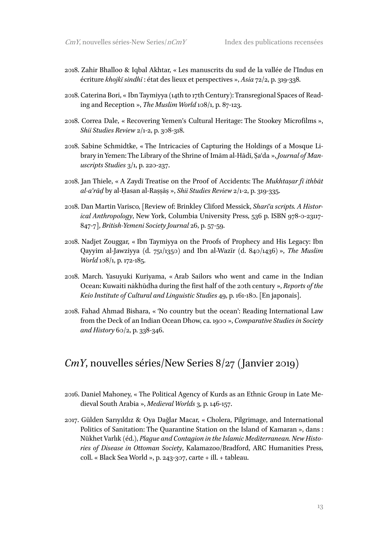- 2018. Zahir Bhalloo & Iqbal Akhtar, « Les manuscrits du sud de la vallée de l'Indus en écriture *khojkī sindhī* : état des lieux et perspectives », *Asia* 72/2, p. 319-338.
- 2018. Caterina Bori, « Ibn Taymiyya (14th to 17th Century): Transregional Spaces of Reading and Reception », *The Muslim World* 108/1, p. 87-123.
- 2018. Correa Dale, « Recovering Yemen's Cultural Heritage: The Stookey Microfilms », *Shii Studies Review* 2/1-2, p. 308-318.
- 2018. Sabine Schmidtke, « The Intricacies of Capturing the Holdings of a Mosque Library in Yemen: The Library of the Shrine of Imām al-Hādī, Ṣaʿda », *Journal of Manuscripts Studies* 3/1, p. 220-237.
- 2018. Jan Thiele, « A Zaydī Treatise on the Proof of Accidents: The *Mukhtaṣar fī ithbāt al-aʿrāḍ* by al-Ḥasan al-Raṣṣāṣ », *Shii Studies Review* 2/1-2, p. 319-335.
- 2018. Dan Martin Varisco, [Review of: Brinkley Cliford Messick, *Shariʿa scripts. A Historical Anthropology*, New York, Columbia University Press, 536 p. ISBN 978-0-23117- 847-7], *British-Yemeni Society Journal* 26, p. 57-59.
- 2018. Nadjet Zouggar, « Ibn Taymiyya on the Proofs of Prophecy and His Legacy: Ibn Qayyim al-Jawziyya (d. 751/1350) and Ibn al-Wazīr (d. 840/1436) », *The Muslim World* 108/1, p. 172-185.
- 2018. March. Yasuyuki Kuriyama, « Arab Sailors who went and came in the Indian Ocean: Kuwaiti nākhūdha during the first half of the 20th century », *Reports of the Keio Institute of Cultural and Linguistic Studies* 49, p. 161-180. [En japonais].
- 2018. Fahad Ahmad Bishara, « 'No country but the ocean': Reading International Law from the Deck of an Indian Ocean Dhow, ca. 1900 », *Comparative Studies in Society and History* 60/2, p. 338-346.

#### *CmY*, nouvelles séries/New Series 8/27 (Janvier 2019)

- 2016. Daniel Mahoney, « The Political Agency of Kurds as an Ethnic Group in Late Medieval South Arabia », *Medieval Worlds* 3, p. 146-157.
- 2017. Gülden Sarıyıldız & Oya Dağlar Macar, « Cholera, Pilgrimage, and International Politics of Sanitation: The Quarantine Station on the Island of Kamaran », dans : Nükhet Varlık (éd.), *Plague and Contagion in the Islamic Mediterranean. New Histories of Disease in Ottoman Society*, Kalamazoo/Bradford, ARC Humanities Press, coll. « Black Sea World », p. 243-307, carte + ill. + tableau.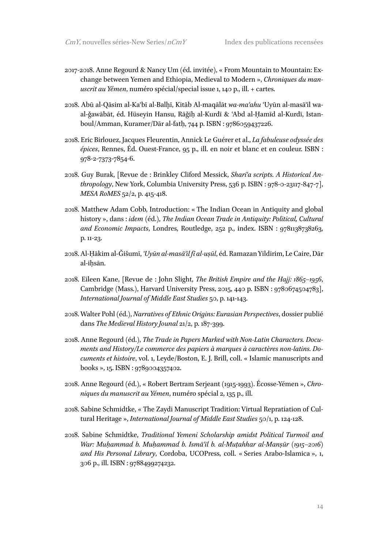- 2017-2018. Anne Regourd & Nancy Um (éd. invitée), « From Mountain to Mountain: Exchange between Yemen and Ethiopia, Medieval to Modern », *Chroniques du manuscrit au Yémen*, numéro spécial/special issue 1, 140 p., ill. + cartes.
- 2018. Abū al-Qāsim al-Kaʿbī al-Balḫī, Kitāb Al-maqālāt *wa-maʿahu* ʿUyūn al-masāʾil waal-ǧawābāt, éd. Hüseyin Hansu, Rāǧiḥ al-Kurdī & ʿAbd al-Ḥamīd al-Kurdī, Istanboul/Amman, Kuramer/Dār al-fatḥ, 744 p. ISBN : 9786059437226.
- 2018. Eric Birlouez, Jacques Fleurentin, Annick Le Guérer et al., *La fabuleuse odyssée des épices*, Rennes, Éd. Ouest-France, 95 p., ill. en noir et blanc et en couleur. ISBN : 978-2-7373-7854-6.
- 2018. Guy Burak, [Revue de : Brinkley Cliford Messick, *Shariʿa scripts. A Historical Anthropology*, New York, Columbia University Press, 536 p. ISBN : 978-0-23117-847-7], *MESA RoMES* 52/2, p. 415-418.
- 2018. Matthew Adam Cobb, Introduction: « The Indian Ocean in Antiquity and global history », dans : *idem* (éd.), *The Indian Ocean Trade in Antiquity: Political, Cultural and Economic Impacts*, Londres, Routledge, 252 p., index. ISBN : 9781138738263, p. 11-23.
- 2018. Al-Ḥākim al-Ǧišumī, *ʿUyūn al-masāʾil fī al-uṣūl*, éd. Ramazan Yildirim, Le Caire, Dār al-iḥsān.
- 2018. Eileen Kane, [Revue de : John Slight, *The British Empire and the Hajj: 1865–1956*, Cambridge (Mass.), Harvard University Press, 2015, 440 p. ISBN : 9780674504783], *International Journal of Middle East Studies* 50, p. 141-143.
- 2018. Walter Pohl (éd.), *Narratives of Ethnic Origins: Eurasian Perspectives*, dossier publié dans *The Medieval History Jounal* 21/2, p. 187-399.
- 2018. Anne Regourd (éd.), *The Trade in Papers Marked with Non-Latin Characters. Documents and History/Le commerce des papiers à marques à caractères non-latins. Documents et histoire*, vol. 1, Leyde/Boston, E. J. Brill, coll. « Islamic manuscripts and books », 15. ISBN : 9789004357402.
- 2018. Anne Regourd (éd.), « Robert Bertram Serjeant (1915-1993). Écosse-Yémen », *Chroniques du manuscrit au Yémen*, numéro spécial 2, 135 p., ill.
- 2018. Sabine Schmidtke, « The Zaydi Manuscript Tradition: Virtual Repratiation of Cultural Heritage », *International Journal of Middle East Studies* 50/1, p. 124-128.
- 2018. Sabine Schmidtke, *Traditional Yemeni Scholarship amidst Political Turmoil and War: Muḥammad b. Muḥammad b. Ismāʿīl b. al-Muṭahhar al-Manṣūr (1915–2016) and His Personal Library*, Cordoba, UCOPress, coll. « Series Arabo-Islamica », 1, 306 p., ill. ISBN : 9788499274232.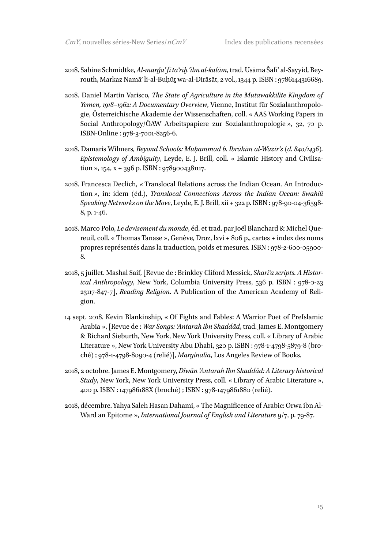- 2018. Sabine Schmidtke, *Al-marǧaʿ fī taʾrīḫ ʿilm al-kalām*, trad. Usāma Šafīʿ al-Sayyid, Beyrouth, Markaz Namāʾ li-al-Buḥūṯ wa-al-Dirāsāt, 2 vol., 1344 p. ISBN : 9786144316689.
- 2018. Daniel Martin Varisco, *The State of Agriculture in the Mutawakkilite Kingdom of Yemen, 1918–1962: A Documentary Overview*, Vienne, Institut für Sozialanthropologie, Österreichische Akademie der Wissenschaften, coll. « AAS Working Papers in Social Anthropology/ÖAW Arbeitspapiere zur Sozialanthropologie », 32, 70 p. ISBN-Online : 978-3-7001-8256-6.
- 2018. Damaris Wilmers, *Beyond Schools: Muḥammad b. Ibrāhīm al-Wazīr's (d. 840/1436). Epistemology of Ambiguity*, Leyde, E. J. Brill, coll. « Islamic History and Civilisation », 154,  $x + 396$  p. ISBN : 9789004381117.
- 2018. Francesca Declich, « Translocal Relations across the Indian Ocean. An Introduction », in: idem (éd.), *Translocal Connections Across the Indian Ocean: Swahili Speaking Networks on the Move*, Leyde, E. J. Brill, xii + 322 p. ISBN : 978-90-04-36598- 8, p. 1-46.
- 2018. Marco Polo, *Le devisement du monde*, éd. et trad. par Joël Blanchard & Michel Quereuil, coll. « Thomas Tanase », Genève, Droz, lxvi + 806 p., cartes + index des noms propres représentés dans la traduction, poids et mesures. ISBN : 978-2-600-05900- 8.
- 2018, 5 juillet. Mashal Saif, [Revue de : Brinkley Cliford Messick, *Shariʿa scripts. A Historical Anthropology*, New York, Columbia University Press, 536 p. ISBN : 978-0-23 23117-847-7], *Reading Religion*. A Publication of the American Academy of Religion.
- 14 sept. 2018. Kevin Blankinship, « Of Fights and Fables: A Warrior Poet of PreIslamic Arabia », [Revue de : *War Songs: ʿAntarah ibn Shaddād*, trad. James E. Montgomery & Richard Sieburth, New York, New York University Press, coll. « Library of Arabic Literature », New York University Abu Dhabi, 320 p. ISBN : 978-1-4798-5879-8 (broché) ; 978-1-4798-8090-4 (relié)], *Marginalia*, Los Angeles Review of Books.
- 2018, 2 octobre. James E. Montgomery, *Dīwān ʿAntarah Ibn Shaddād: A Literary historical Study*, New York, New York University Press, coll. « Library of Arabic Literature », 400 p. ISBN : 147986188X (broché) ; ISBN : 978-1479861880 (relié).
- 2018, décembre. Yahya Saleh Hasan Dahami, « The Magnificence of Arabic: Orwa ibn Al-Ward an Epitome », *International Journal of English and Literature* 9/7, p. 79-87.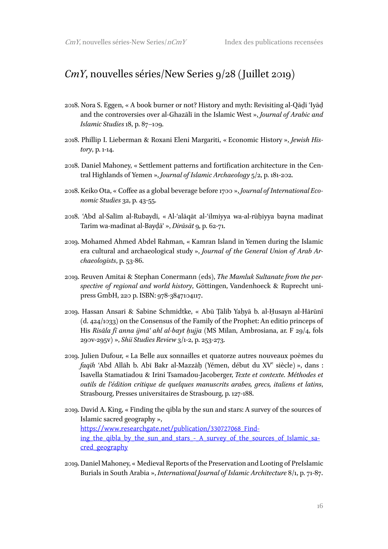#### *CmY*, nouvelles séries/New Series 9/28 (Juillet 2019)

- 2018. Nora S. Eggen, « A book burner or not? History and myth: Revisiting al-Qāḍī ʿIyāḍ and the controversies over al-Ghazālī in the Islamic West », *Journal of Arabic and Islamic Studies* 18, p. 87–109.
- 2018. Phillip I. Lieberman & Roxani Eleni Margariti, « Economic History », *Jewish History*, p. 1-14.
- 2018. Daniel Mahoney, « Settlement patterns and fortification architecture in the Central Highlands of Yemen », *Journal of Islamic Archaeology* 5/2, p. 181-202.
- 2018. Keiko Ota, « Coffee as a global beverage before 1700 », *Journal of International Economic Studies* 32, p. 43-55.
- 2018. ʿAbd al-Salīm al-Rubaydī, « Al-ʿalāqāt al-ʿilmiyya wa-al-rūḥiyya bayna madīnat Tarīm wa-madīnat al-Bayḍāʾ », *Dirāsāt* 9, p. 62-71.
- 2019. Mohamed Ahmed Abdel Rahman, « Kamran Island in Yemen during the Islamic era cultural and archaeological study », *Journal of the General Union of Arab Archaeologists*, p. 53-86.
- 2019. Reuven Amitai & Stephan Conermann (eds), *The Mamluk Sultanate from the perspective of regional and world history*, Göttingen, Vandenhoeck & Ruprecht unipress GmbH, 220 p. ISBN: 978-3847104117.
- 2019. Hassan Ansari & Sabine Schmidtke, « Abū Ṭālib Yaḥyā b. al-Ḥusayn al-Hārūnī (d. 424/1033) on the Consensus of the Family of the Prophet: An editio princeps of His *Risāla fī anna ijmāʿ ahl al-bayt ḥujja* (MS Milan, Ambrosiana, ar. F 29/4, fols 290v-295v) », *Shii Studies Review* 3/1-2, p. 253-273.
- 2019. Julien Dufour, « La Belle aux sonnailles et quatorze autres nouveaux poèmes du *faqīh* ʿAbd Allāh b. Abī Bakr al-Mazzāḥ (Yémen, début du XV<sup>e</sup> siècle) », dans : Isavella Stamatiadou & Irini Tsamadou-Jacoberger, *Texte et contexte. Méthodes et outils de l'édition critique de quelques manuscrits arabes, grecs, italiens et latins*, Strasbourg, Presses universitaires de Strasbourg, p. 127-188.
- 2019. David A. King, « Finding the qibla by the sun and stars: A survey of the sources of Islamic sacred geography », https://www.researchgate.net/publication/330727068\_Finding\_the\_qibla\_by\_the\_sun\_and\_stars\_-\_A\_survey\_of\_the\_sources\_of\_Islamic\_sacred\_geography
- 2019. Daniel Mahoney, « Medieval Reports of the Preservation and Looting of PreIslamic Burials in South Arabia », *International Journal of Islamic Architecture* 8/1, p. 71-87.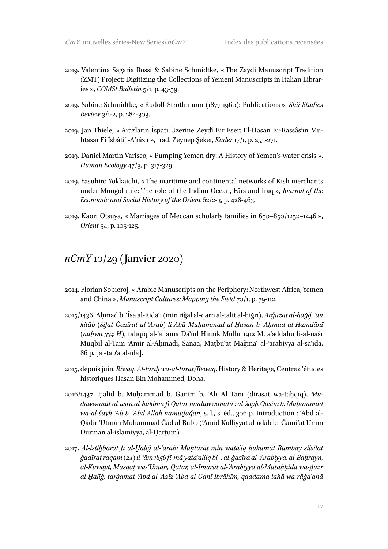- 2019. Valentina Sagaria Rossi & Sabine Schmidtke, « The Zaydi Manuscript Tradition (ZMT) Project: Digitizing the Collections of Yemeni Manuscripts in Italian Libraries », *COMSt Bulletin* 5/1, p. 43-59.
- 2019. Sabine Schmidtke, « Rudolf Strothmann (1877-1960): Publications », *Shii Studies Review* 3/1-2, p. 284-303.
- 2019. Jan Thiele, « Arazların İspatı Üzerine Zeydî Bir Eser: El-Hasan Er-Rassâs'ın Muhtasar Fî İsbâti'l-A'râz'ı », trad. Zeynep Şeker, *Kader* 17/1, p. 255-271.
- 2019. Daniel Martin Varisco, « Pumping Yemen dry: A History of Yemen's water crisis », *Human Ecology* 47/3, p. 317-329.
- 2019. Yasuhiro Yokkaichi, « The maritime and continental networks of Kīsh merchants under Mongol rule: The role of the Indian Ocean, Fārs and Iraq », *Journal of the Economic and Social History of the Orient* 62/2-3, p. 428-463.
- 2019. Kaori Otsuya, « Marriages of Meccan scholarly families in 650–850/1252–1446 », *Orient* 54, p. 105-125.

#### *nCmY* 10/29 (Janvier 2020)

- 2014. Florian Sobieroj, « Arabic Manuscripts on the Periphery: Northwest Africa, Yemen and China », *Manuscript Cultures: Mapping the Field* 70/1, p. 79-112.
- 2015/1436. Aḥmad b. ʿĪsā al-Ridāʿī (min riǧāl al-qarn al-ṯāliṯ al-hiǧrī), *Arǧūzat al-ḥaǧǧ, ʿan kitāb (Ṣifat Ǧazīrat al-ʿArab) li-Abū Muḥammad al-Ḥasan b. Aḥmad al-Hamdānī (naḥwa 334 H)*, taḥqīq al-ʿallāma Dāʾūd Hinrīk Mūllīr 1912 M, aʿaddahu li-al-našr Muqbil al-Tām ʿĀmir al-Aḥmadī, Sanaa, Maṭbūʿāt Maǧmaʿ al-ʿarabiyya al-saʿīda, 86 p. [al-ṭabʿa al-ūlā].
- 2015, depuis juin. *Riwāq*. *Al-tārīḫwa-al-turāṯ/Rewaq*. History & Heritage, Centre d'études historiques Hasan Bin Mohammed, Doha.
- 2016/1437. Ḫālid b. Muḥammad b. Ġānim b. ʿAlī Āl Ṯānī (dirāsat wa-taḥqīq), *Mudawwanāt al-usra al-ḥākima fī Qaṭar mudawwanatā : al-šayḫ Qāsim b. Muḥammad wa-al-šayḫ ʿAlī b. ʿAbd Allāh namūḏaǧān*, s. l., s. éd., 306 p. Introduction : ʿAbd al-Qādir ʿUṯmān Muḥammad Ǧād al-Rabb (ʿAmīd Kulliyyat al-ādāb bi-Ǧāmiʿat Umm Durmān al-islāmiyya, al-Ḫarṭūm).
- 2017. *Al-istiḫbārāt fī al-Ḫalīǧ al-ʿarabī Muḫtārāt min waṯāʾiq ḥukūmāt Būmbāy silsilat ǧadīrat raqam (24) li-ʿām 1856 fī-mā yataʿalliq bi- : al-ǧazīra al-ʿArabiyya, al-Baḥrayn, al-Kuwayt, Masqaṭ wa-ʿUmān, Qaṭar, al-Imārāt al-ʿArabiyya al-Mutaḥḥida wa-ǧuzr al-Ḫalīǧ, tarǧamat ʿAbd al-ʿAzīz ʿAbd al-Ġanī Ibrāhīm, qaddama lahā wa-rāǧaʿahā*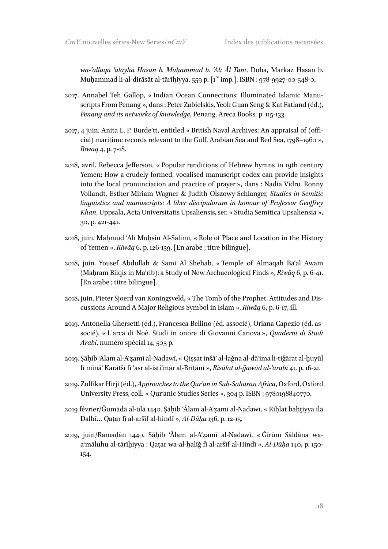*wa-ʿallaqa ʿalayhā Ḥasan b. Muḥammad b. ʿAlī Āl Ṯānī*, Doha, Markaz Ḥasan b. Muḥammad li-al-dirāsāt al-tārīḫiyya, 559 p. [1 re imp.]. ISBN : 978-9927-00-548-0.

- 2017. Annabel Teh Gallop, « Indian Ocean Connections: Illuminated Islamic Manuscripts From Penang », dans : Peter Zabielskis, Yeoh Guan Seng & Kat Fatland (éd.), *Penang and its networks of knowledge*, Penang, Areca Books, p. 115-133.
- 2017, 4 juin. Anita L. P. Burde'tt, entitled « British Naval Archives: An appraisal of (official) maritime records relevant to the Gulf, Arabian Sea and Red Sea, 1798–1960 », *Riwāq* 4, p. 7-18.
- 2018, avril. Rebecca Jefferson, « Popular renditions of Hebrew hymns in 19th century Yemen: How a crudely formed, vocalised manuscript codex can provide insights into the local pronunciation and practice of prayer », dans : Nadia Vidro, Ronny Vollandt, Esther-Miriam Wagner & Judith Olszowy-Schlanger, *Studies in Semitic linguistics and manuscripts: A liber discipulorum in honour of Professor Geoffrey Khan*, Uppsala, Acta Universitatis Upsaliensis, ser. « Studia Semitica Upsaliensia », 30, p. 421-441.
- 2018, juin. Maḥmūd ʿAlī Muḥsin Al-Sālimī, « Role of Place and Location in the History of Yemen », *Riwāq* 6, p. 126-139. [En arabe ; titre bilingue].
- 2018, juin. Yousef Abdullah & Sami Al Shehab, « Temple of Almaqah Baʿal Awām (Maḥram Bilqis in Maʾrib): a Study of New Archaeological Finds », *Riwāq* 6, p. 6-41. [En arabe ; titre bilingue].
- 2018, juin. Pieter Sjoerd van Koningsveld, « The Tomb of the Prophet. Attitudes and Discussions Around A Major Religious Symbol in Islam », *Riwāq* 6, p. 6-17, ill.
- 2019. Antonella Ghersetti (éd.), Francesca Bellino (éd. associé), Oriana Capezio (éd. associé), « L'arca di Noè. Studi in onore di Giovanni Canova », *Quaderni di Studi Arabi*, numéro spécial 14, 505 p.
- 2019. Ṣāḥib ʿĀlam al-Aʿẓamī al-Nadawī, « Qiṣṣat inšāʾ al-laǧna al-dāʾima li-tiǧārat al-ḫuyūl fī mīnāʾ Karātšī fī ʿaṣr al-istiʿmār al-Brīṭānī », *Risālat al-ǧawād al-ʿarabī* 41, p. 16-21.
- 2019. Zulfikar Hirji (éd.), *Approaches to the Qurʾan in Sub-Saharan Africa*, Oxford, Oxford University Press, coll. « Qurʾanic Studies Series », 304 p. ISBN : 9780198840770.
- 2019 février/Ǧumādā al-ūlā 1440. Ṣāḥib ʿĀlam al-Aʿẓamī al-Nadawī, « Riḥlat baḥṯiyya ilā Dalhī… Qaṭar fī al-aršīf al-hindī », *Al-Dūḥa* 136, p. 12-15.
- 2019, juin/Ramaḍān 1440. Ṣāḥib ʿĀlam al-Aʿẓamī al-Nadawī, « Ǧīrūm Sāldāna waaʿmāluhu al-tārīḫiyya : Qaṭar wa-al-ḫalīǧ fī al-aršīf al-Hindī », *Al-Dūḥa* 140, p. 150- 154.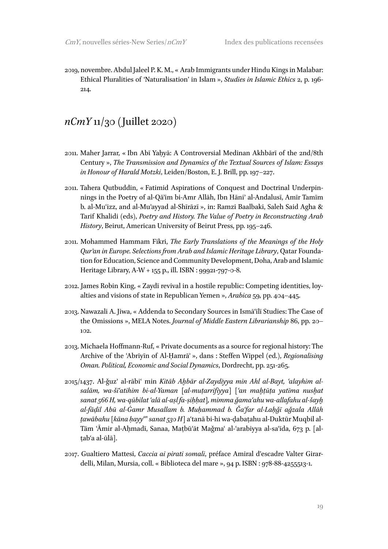2019, novembre. Abdul Jaleel P. K. M., « Arab Immigrants under Hindu Kings in Malabar: Ethical Pluralities of 'Naturalisation' in Islam », *Studies in Islamic Ethics* 2, p. 196- 214.

#### *nCmY* 11/30 (Juillet 2020)

- 2011. Maher Jarrar, « Ibn Abī Yaḥyā: A Controversial Medinan Akhbārī of the 2nd/8th Century », *The Transmission and Dynamics of the Textual Sources of Islam: Essays in Honour of Harald Motzki*, Leiden/Boston, E. J. Brill, pp. 197–227.
- 2011. Tahera Qutbuddin, « Fatimid Aspirations of Conquest and Doctrinal Underpinnings in the Poetry of al-Qāʾim bi-Amr Allāh, Ibn Hāniʾ al-Andalusī, Amīr Tamīm b. al-Muʿizz, and al-Muʾayyad al-Shīrāzī », in: Ramzi Baalbaki, Saleh Said Agha & Tarif Khalidi (eds), *Poetry and History. The Value of Poetry in Reconstructing Arab History*, Beirut, American University of Beirut Press, pp. 195–246.
- 2011. Mohammed Hammam Fikri, *The Early Translations of the Meanings of the Holy Qurʾan in Europe. Selections from Arab and Islamic Heritage Library*, Qatar Foundation for Education, Science and Community Development, Doha, Arab and Islamic Heritage Library, A-W + 155 p., ill. ISBN : 99921-797-0-8.
- 2012. James Robin King, « Zaydī revival in a hostile republic: Competing identities, loyalties and visions of state in Republican Yemen », *Arabica* 59, pp. 404–445.
- 2013. Nawazali A. Jiwa, « Addenda to Secondary Sources in Ismāʿīlī Studies: The Case of the Omissions », MELA Notes. *Journal of Middle Eastern Librarianship* 86, pp. 20– 102.
- 2013. Michaela Hoffmann-Ruf, « Private documents as a source for regional history: The Archive of the ʿAbrīyīn of Al-Ḥamrāʾ », dans : Steffen Wippel (ed.), *Regionalising Oman. Political, Economic and Social Dynamics*, Dordrecht, pp. 251-265.
- 2015/1437. Al-ǧuzʾ al-rābiʿ min *Kitāb Aḫbār al-Zaydiyya min Ahl al-Bayt, ʿalayhim alsalām, wa-šīʿatihim bi-al-Yaman [al-muṭarrifiyya] [ʿan maḫṭūṭa yatīma nusḫat sanat 566 H, wa-qūbilat ʿalā al-aṣl fa-ṣiḥḥat], mimma ǧamaʿahu wa-allafahu al-šayḫ al-fāḍil Abū al-Ġamr Musallam b. Muḥammad b. Ǧaʿfar al-Laḥǧī aǧzala Allāh ṯawābahu [kāna ḥayyan sanat 530 H]* aʿtanā bi-hi wa-ḍabaṭahu al-Duktūr Muqbil al-Tām ʿĀmir al-Aḥmadī, Sanaa, Maṭbūʿāt Maǧmaʿ al-ʿarabiyya al-saʿīda, 673 p. [alṭabʿa al-ūlā].
- 2017. Gualtiero Mattesi, *Caccia ai pirati somali*, préface Amiral d'escadre Valter Girardelli, Milan, Mursia, coll. « Biblioteca del mare », 94 p. ISBN : 978-88-4255513-1.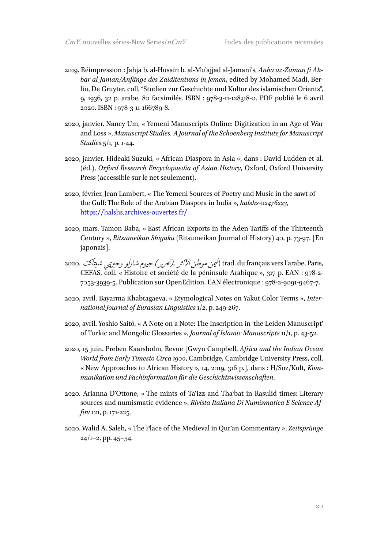- 2019. Réimpression : Jahja b. al-Husain b. al-Muʾajjad al-Jamani's, *Anba az-Zaman fi Ahbar al-Jaman/Anfänge des Zaiditentums in Jemen*, edited by Mohamed Madi, Berlin, De Gruyter, coll. "Studien zur Geschichte und Kultur des islamischen Orients", 9, 1936, 32 p. arabe, 80 facsimilés. ISBN : 978-3-11-128318-0. PDF publié le 6 avril 2020. ISBN : 978-3-11-166789-8.
- 2020, janvier. Nancy Um, « Yemeni Manuscripts Online: Digitization in an Age of War and Loss », *Manuscript Studies. A Journal of the Schoenberg Institute for Manuscript Studies* 5/1, p. 1-44.
- 2020, janvier. Hideaki Suzuki, « African Diaspora in Asia », dans : David Ludden et al. (éd.), *Oxford Research Encyclopaedia of Asian History*, Oxford, Oxford University Press (accessible sur le net seulement).
- 2020, février. Jean Lambert, « The Yemeni Sources of Poetry and Music in the sawt of the Gulf: The Role of the Arabian Diaspora in India », *halshs-02476223*, https://halshs.archives-ouvertes.fr/
- 2020, mars. Tamon Baba, « East African Exports in the Aden Tariffs of the Thirteenth Century », *Ritsumeikan Shigaku (*Ritsumeikan Journal of History*)* 40, p. 73-97. [En japonais].
- trad. du français vers l'arabe, Paris, البمن موطن الآاثر ,(تحرير) جيوم شارلو وجيريمي شيتاكت $\sim$  2020. CEFAS, coll. « Histoire et société de la péninsule Arabique », 317 p. EAN : 978-2- 7053-3939-5. Publication sur OpenEdition. EAN électronique : 978-2-9091-9467-7.
- 2020, avril. Bayarma Khabtagaeva, « Etymological Notes on Yakut Color Terms », *International Journal of Eurasian Linguistics* 1/2, p. 249-267.
- 2020, avril. Yoshio Saitô, « A Note on a Note: The Inscription in 'the Leiden Manuscript' of Turkic and Mongolic Glossaries », *Journal of Islamic Manuscripts* 11/1, p. 43-52.
- 2020, 15 juin. Preben Kaarsholm, Revue [Gwyn Campbell, *Africa and the Indian Ocean World from Early Timesto Circa 1900*, Cambridge, Cambridge University Press, coll. « New Approaches to African History », 14, 2019, 316 p.], dans : H/Soz/Kult, *Kommunikation und Fachinformation für die Geschichtswissenschaften*.
- 2020. Arianna D'Ottone, « The mints of Taʿizz and Thaʿbat in Rasulid times: Literary sources and numismatic evidence », *Rivista Italiana Di Numismatica E Scienze Affini* 121, p. 171-225.
- 2020. Walid A. Saleh, « The Place of the Medieval in Qurʾan Commentary », *Zeitsprünge*   $24/1-2$ , pp.  $45-54$ .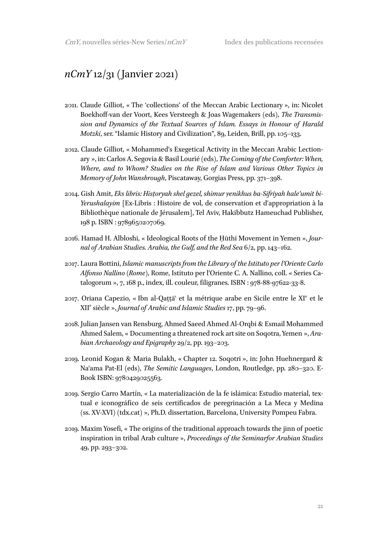#### *nCmY* 12/31 (Janvier 2021)

- 2011. Claude Gilliot, « The 'collections' of the Meccan Arabic Lectionary », in: Nicolet Boekhoff-van der Voort, Kees Versteegh & Joas Wagemakers (eds), *The Transmission and Dynamics of the Textual Sources of Islam. Essays in Honour of Harald Motzki*, ser. "Islamic History and Civilization", 89, Leiden, Brill, pp. 105–133.
- 2012. Claude Gilliot, « Mohammed's Exegetical Activity in the Meccan Arabic Lectionary », in: Carlos A. Segovia & Basil Lourié (eds), *The Coming of the Comforter: When, Where, and to Whom? Studies on the Rise of Islam and Various Other Topics in Memory of John Wansbrough*, Piscataway, Gorgias Press, pp. 371–398.
- 2014. Gish Amit, *Eks libris: Hisṭoryah shel gezel, shimur ṿenikhus ba-Sifriyah hale'umit bi-Yerushalayim* [Ex-Libris : Histoire de vol, de conservation et d'appropriation à la Bibliothèque nationale de Jérusalem], Tel Aviv, Hakibbutz Hameuchad Publisher, 198 p. ISBN : 9789650207069.
- 2016. Hamad H. Albloshi, « Ideological Roots of the Ḥūthī Movement in Yemen », *Journal of Arabian Studies. Arabia, the Gulf, and the Red Sea* 6/2, pp. 143–162.
- 2017. Laura Bottini, *Islamic manuscripts from the Library of the Istituto per l'Oriente Carlo Alfonso Nallino (Rome)*, Rome, Istituto per l'Oriente C. A. Nallino, coll. « Series Catalogorum », 7, 168 p., index, ill. couleur, filigranes. ISBN : 978-88-97622-33-8.
- 2017. Oriana Capezio, « Ibn al-Qattã et la métrique arabe en Sicile entre le XI<sup>e</sup> et le XII<sup>e</sup> siècle », *Journal of Arabic and Islamic Studies* 17, pp. 79–96.
- 2018. Julian Jansen van Rensburg, Ahmed Saeed Ahmed Al-Orqbi & Esmail Mohammed Ahmed Salem, « Documenting a threatened rock art site on Soqotra, Yemen », *Arabian Archaeology and Epigraphy* 29/2, pp. 193–203.
- 2019. Leonid Kogan & Maria Bulakh, « Chapter 12. Soqotri », in: John Huehnergard & Naʿama Pat-El (eds), *The Semitic Languages*, London, Routledge, pp. 280–320. E-Book ISBN: 9780429025563.
- 2019. Sergio Carro Martín, « La materialización de la fe islámica: Estudio material, textual e iconográfico de seis certificados de peregrinación a La Meca y Medina (ss. XV-XVI) (tdx.cat) », Ph.D. dissertation, Barcelona, University Pompeu Fabra.
- 2019. Maxim Yosefi, « The origins of the traditional approach towards the jinn of poetic inspiration in tribal Arab culture », *Proceedings of the Seminarfor Arabian Studies*  49, pp. 293–302.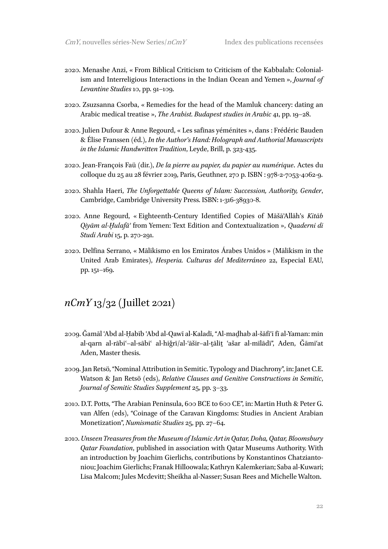- 2020. Menashe Anzi, « From Biblical Criticism to Criticism of the Kabbalah: Colonialism and Interreligious Interactions in the Indian Ocean and Yemen », *Journal of Levantine Studies* 10, pp. 91–109.
- 2020. Zsuzsanna Csorba, « Remedies for the head of the Mamluk chancery: dating an Arabic medical treatise », *The Arabist. Budapest studies in Arabic* 41, pp. 19–28.
- 2020. Julien Dufour & Anne Regourd, « Les safīnas yéménites », dans : Frédéric Bauden & Élise Franssen (éd.), *In the Author's Hand: Holograph and Authorial Manuscripts in the Islamic Handwritten Tradition*, Leyde, Brill, p. 323-435.
- 2020. Jean-François Faü (dir.), *De la pierre au papier, du papier au numérique*. Actes du colloque du 25 au 28 février 2019, Paris, Geuthner, 270 p. ISBN : 978-2-7053-4062-9.
- 2020. Shahla Haeri, *The Unforgettable Queens of Islam: Succession, Authority, Gender*, Cambridge, Cambridge University Press. ISBN: 1-316-38930-8.
- 2020. Anne Regourd, « Eighteenth-Century Identified Copies of MāšāʾAllāh's *Kitāb Qiyām al-Ḫulafāʾ* from Yemen: Text Edition and Contextualization », *Quaderni di Studi Arabi* 15, p. 270-291.
- 2020. Delfina Serrano, « Mālikismo en los Emiratos Árabes Unidos » (Mālikism in the United Arab Emirates), *Hesperia. Culturas del Mediterráneo* 22, Especial EAU, pp. 151–169.

#### *nCmY* 13/32 (Juillet 2021)

- 2009. Ǧamāl ʿAbd al-Ḥabīb ʿAbd al-Qawī al-Kaladī, "Al-maḏhab al-šāfiʿī fī al-Yaman: min al-qarn al-rābiʿ‒al-sābiʿ al-hiǧrī/al-ʿāšir‒al-ṯāliṯ ʿašar al-mīlādī", Aden, Ǧāmiʿat Aden, Master thesis.
- 2009. Jan Retsö, "Nominal Attribution in Semitic. Typology and Diachrony", in: Janet C.E. Watson & Jan Retsö (eds), *Relative Clauses and Genitive Constructions in Semitic*, *Journal of Semitic Studies Supplement* 25, pp. 3–33.
- 2010. D.T. Potts, "The Arabian Peninsula, 600 BCE to 600 CE", in: Martin Huth & Peter G. van Alfen (eds), "Coinage of the Caravan Kingdoms: Studies in Ancient Arabian Monetization", *Numismatic Studies* 25, pp. 27–64.
- 2010. *Unseen Treasures from the Museum of Islamic Art in Qatar, Doha, Qatar, Bloomsbury Qatar Foundation*, published in association with Qatar Museums Authority. With an introduction by Joachim Gierlichs, contributions by Konstantinos Chatziantoniou; Joachim Gierlichs; Franak Hilloowala; Kathryn Kalemkerian; Saba al-Kuwari; Lisa Malcom; Jules Mcdevitt; Sheikha al-Nasser; Susan Rees and Michelle Walton.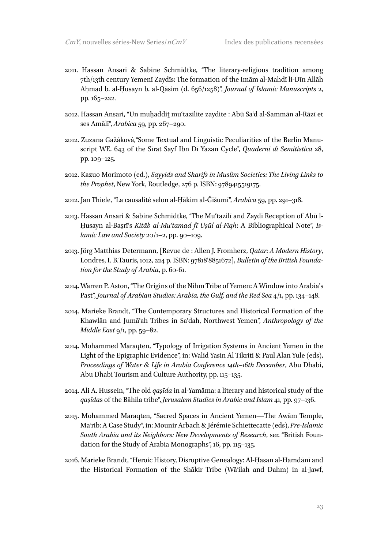- 2011. Hassan Ansari & Sabine Schmidtke, "The literary-religious tradition among 7th/13th century Yemenī Zaydīs: The formation of the Imām al-Mahdī li-Dīn Allāh Aḥmad b. al-Ḥusayn b. al-Qāsim (d. 656/1258)", *Journal of Islamic Manuscripts* 2, pp. 165–222.
- 2012. Hassan Ansari, "Un muḥaddiṯ muʿtazilite zaydite : Abū Saʿd al-Sammān al-Rāzī et ses Amālī", *Arabica* 59, pp. 267–290.
- 2012. Zuzana Gažáková,"Some Textual and Linguistic Peculiarities of the Berlin Manuscript WE. 643 of the Sīrat Sayf Ibn Ḏī Yazan Cycle", *Quaderni di Semitistica* 28, pp. 109–125.
- 2012. Kazuo Morimoto (ed.), *Sayyids and Sharifs in Muslim Societies: The Living Links to the Prophet*, New York, Routledge, 276 p. ISBN: 9789415519175.
- 2012. Jan Thiele, "La causalité selon al-Ḥākim al-Ǧišumī", *Arabica* 59, pp. 291–318.
- 2013. Hassan Ansari & Sabine Schmidtke, "The Muʿtazilī and Zaydī Reception of Abū l-Ḥusayn al-Baṣrī's *Kitāb al-Muʿtamad fī Uṣūl al-Fiqh*: A Bibliographical Note", *Islamic Law and Society* 20/1–2, pp. 90–109.
- 2013. Jörg Matthias Determann, [Revue de : Allen J. Fromherz, *Qatar: A Modern History*, Londres, I. B.Tauris, 1012, 224 p. ISBN: 97818'8851672], *Bulletin of the British Foundation for the Study of Arabia*, p. 60-61.
- 2014. Warren P. Aston, "The Origins of the Nihm Tribe of Yemen: A Window into Arabia's Past", *Journal of Arabian Studies: Arabia, the Gulf, and the Red Sea* 4/1, pp. 134–148.
- 2014. Marieke Brandt, "The Contemporary Structures and Historical Formation of the Khawlān and Jumāʿah Tribes in Saʿdah, Northwest Yemen", *Anthropology of the Middle East* 9/1, pp. 59–82.
- 2014. Mohammed Maraqten, "Typology of Irrigation Systems in Ancient Yemen in the Light of the Epigraphic Evidence", in: Walid Yasin Al Tikriti & Paul Alan Yule (eds), *Proceedings of Water & Life in Arabia Conference 14th–16th December*, Abu Dhabi, Abu Dhabi Tourism and Culture Authority, pp. 115–135.
- 2014. Ali A. Hussein, "The old *qaṣīda* in al-Yamāma: a literary and historical study of the *qaṣīda*s of the Bāhila tribe", *Jerusalem Studies in Arabic and Islam* 41, pp. 97–136.
- 2015. Mohammed Maraqten, "Sacred Spaces in Ancient Yemen—The Awām Temple, Maʾrib: A Case Study", in: Mounir Arbach & Jérémie Schiettecatte (eds), *Pre-Islamic South Arabia and its Neighbors: New Developments of Research*, ser. "British Foundation for the Study of Arabia Monographs", 16, pp. 115–135.
- 2016. Marieke Brandt, "Heroic History, Disruptive Genealogy: Al-Ḥasan al-Hamdānī and the Historical Formation of the Shākir Tribe (Wāʾilah and Dahm) in al-Jawf,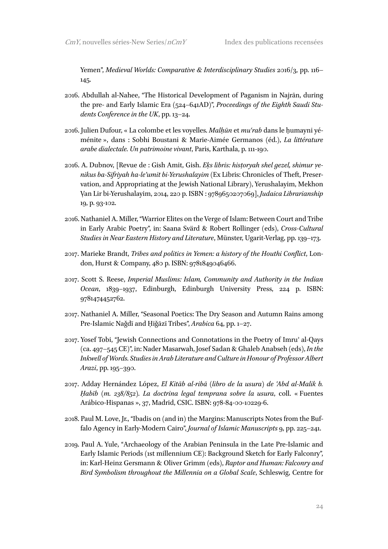Yemen", *Medieval Worlds: Comparative & Interdisciplinary Studies* 2016/3, pp. 116– 145.

- 2016. Abdullah al-Nahee, "The Historical Development of Paganism in Najrān, during the pre- and Early Islamic Era (524–641AD)", *Proceedings of the Eighth Saudi Students Conference in the UK*, pp. 13–24.
- 2016. Julien Dufour, « La colombe et les voyelles. *Malḥūn* et *muʿrab* dans le ḥumayni yéménite », dans : Sobhi Boustani & Marie-Aimée Germanos (éd.), *La littérature arabe dialectale. Un patrimoine vivant*, Paris, Karthala, p. 111-190.
- 2016. A. Dubnov, [Revue de : Gish Amit, Gish. *Eķs libris: historyah shel gezel, shimur yenikus ba-Sifriyah ha-le'umit bi-Yerushalayim* (Ex Libris: Chronicles of Theft, Preservation, and Appropriating at the Jewish National Library), Yerushalayim, Mekhon Ṿan Lir bi-Yerushalayim, 2014, 220 p. ISBN : 9789650207069], *Judaica Librarianship*  19, p. 93-102.
- 2016. Nathaniel A. Miller, "Warrior Elites on the Verge of Islam: Between Court and Tribe in Early Arabic Poetry", in: Saana Svärd & Robert Rollinger (eds), *Cross-Cultural Studies in Near Eastern History and Literature*, Münster, Ugarit-Verlag, pp. 139–173.
- 2017. Marieke Brandt, *Tribes and politics in Yemen: a history of the Houthi Conflict*, London, Hurst & Company, 480 p. ISBN: 9781849046466.
- 2017. Scott S. Reese, *Imperial Muslims: Islam, Community and Authority in the Indian Ocean*, 1839–1937, Edinburgh, Edinburgh University Press, 224 p. ISBN: 9781474452762.
- 2017. Nathaniel A. Miller, "Seasonal Poetics: The Dry Season and Autumn Rains among Pre-Islamic Naǧdī and Ḥiǧāzī Tribes", *Arabica* 64, pp. 1–27.
- 2017. Yosef Tobi, "Jewish Connections and Connotations in the Poetry of Imruʾ al-Qays (ca. 497–545 CE)", in: Nader Masarwah, Josef Sadan & Ghaleb Anabseh (eds), *In the Inkwell of Words. Studiesin Arab Literature and Culture in Honour of Professor Albert Arazi*, pp. 195–390.
- 2017. Adday Hernández López, *El Kitāb al-ribā (libro de la usura) de ʿAbd al-Malik b. Ḥabīb (m. 238/852). La doctrina legal temprana sobre la usura*, coll. « Fuentes Arábico-Hispanas », 37, Madrid, CSIC. ISBN: 978-84-00-10229-6.
- 2018. Paul M. Love, Jr., "Ibadis on (and in) the Margins: Manuscripts Notes from the Buffalo Agency in Early-Modern Cairo", *Journal of Islamic Manuscripts* 9, pp. 225–241.
- 2019. Paul A. Yule, "Archaeology of the Arabian Peninsula in the Late Pre-Islamic and Early Islamic Periods (1st millennium CE): Background Sketch for Early Falconry", in: Karl-Heinz Gersmann & Oliver Grimm (eds), *Raptor and Human: Falconry and Bird Symbolism throughout the Millennia on a Global Scale*, Schleswig, Centre for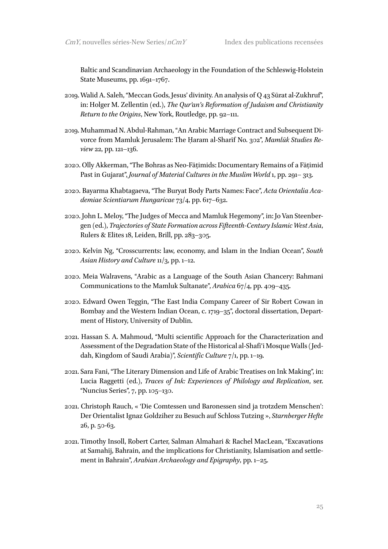Baltic and Scandinavian Archaeology in the Foundation of the Schleswig-Holstein State Museums, pp. 1691–1767.

- 2019. Walid A. Saleh, "Meccan Gods, Jesus' divinity. An analysis of Q 43 Sūrat al-Zukhruf", in: Holger M. Zellentin (ed.), *The Qurʾan's Reformation of Judaism and Christianity Return to the Origins*, New York, Routledge, pp. 92–111.
- 2019. Muhammad N. Abdul-Rahman, "An Arabic Marriage Contract and Subsequent Divorce from Mamluk Jerusalem: The Ḥaram al-Sharīf No. 302", *Mamlūk Studies Review* 22, pp. 121–136.
- 2020. Olly Akkerman, "The Bohras as Neo-Fāṭimids: Documentary Remains of a Fāṭimid Past in Gujarat", *Journal of Material Cultures in the Muslim World* 1, pp. 291– 313.
- 2020. Bayarma Khabtagaeva, "The Buryat Body Parts Names: Face", *Acta Orientalia Academiae Scientiarum Hungaricae* 73/4, pp. 617–632.
- 2020. John L. Meloy, "The Judges of Mecca and Mamluk Hegemony", in: Jo Van Steenbergen (ed.), *Trajectories of State Formation across Fifteenth-Century Islamic West Asia*, Rulers & Elites 18, Leiden, Brill, pp. 283–305.
- 2020. Kelvin Ng, "Crosscurrents: law, economy, and Islam in the Indian Ocean", *South*  Asian History and Culture **11**/3, pp. 1–12.
- 2020. Meia Walravens, "Arabic as a Language of the South Asian Chancery: Bahmani Communications to the Mamluk Sultanate", *Arabica* 67/4, pp. 409–435.
- 2020. Edward Owen Teggin, "The East India Company Career of Sir Robert Cowan in Bombay and the Western Indian Ocean, c. 1719–35", doctoral dissertation, Department of History, University of Dublin.
- 2021. Hassan S. A. Mahmoud, "Multi scientific Approach for the Characterization and Assessment of the Degradation State of the Historical al-Shafi'i Mosque Walls (Jeddah, Kingdom of Saudi Arabia)", *Scientific Culture* 7/1, pp. 1–19.
- 2021. Sara Fani, "The Literary Dimension and Life of Arabic Treatises on Ink Making", in: Lucia Raggetti (ed.), *Traces of Ink: Experiences of Philology and Replication*, ser. "Nuncius Series", 7, pp. 105–130.
- 2021. Christoph Rauch, « 'Die Comtessen und Baronessen sind ja trotzdem Menschen': Der Orientalist Ignaz Goldziher zu Besuch auf Schloss Tutzing », *Starnberger Hefte*  26, p. 50-63.
- 2021. Timothy Insoll, Robert Carter, Salman Almahari & Rachel MacLean, "Excavations at Samahij, Bahrain, and the implications for Christianity, Islamisation and settlement in Bahrain", *Arabian Archaeology and Epigraphy*, pp. 1–25.